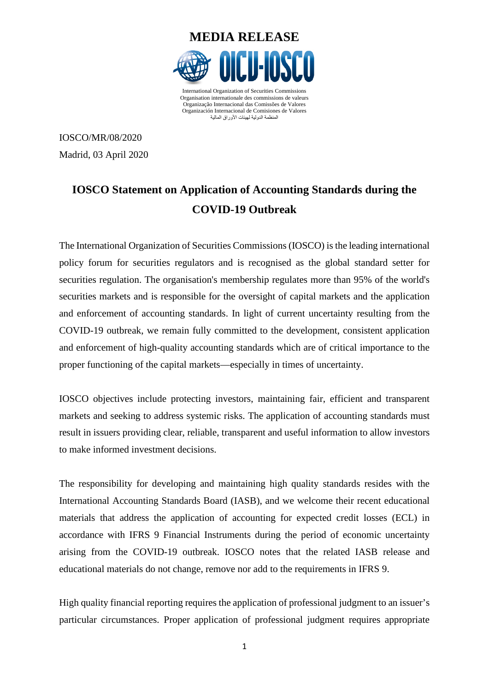

Organisation internationale des commissions de valeurs Organização Internacional das Comissões de Valores Organización Internacional de Comisiones de Valores المنظمة الدولیة لمهیئات الأوراق المالیة

IOSCO/MR/08/2020 Madrid, 03 April 2020

## **IOSCO Statement on Application of Accounting Standards during the COVID-19 Outbreak**

The International Organization of Securities Commissions (IOSCO) is the leading international policy forum for securities regulators and is recognised as the global standard setter for securities regulation. The organisation's membership regulates more than 95% of the world's securities markets and is responsible for the oversight of capital markets and the application and enforcement of accounting standards. In light of current uncertainty resulting from the COVID-19 outbreak, we remain fully committed to the development, consistent application and enforcement of high-quality accounting standards which are of critical importance to the proper functioning of the capital markets—especially in times of uncertainty.

IOSCO objectives include protecting investors, maintaining fair, efficient and transparent markets and seeking to address systemic risks. The application of accounting standards must result in issuers providing clear, reliable, transparent and useful information to allow investors to make informed investment decisions.

The responsibility for developing and maintaining high quality standards resides with the International Accounting Standards Board (IASB), and we welcome their recent educational materials that address the application of accounting for expected credit losses (ECL) in accordance with IFRS 9 Financial Instruments during the period of economic uncertainty arising from the COVID-19 outbreak. IOSCO notes that the related IASB release and educational materials do not change, remove nor add to the requirements in IFRS 9.

High quality financial reporting requires the application of professional judgment to an issuer's particular circumstances. Proper application of professional judgment requires appropriate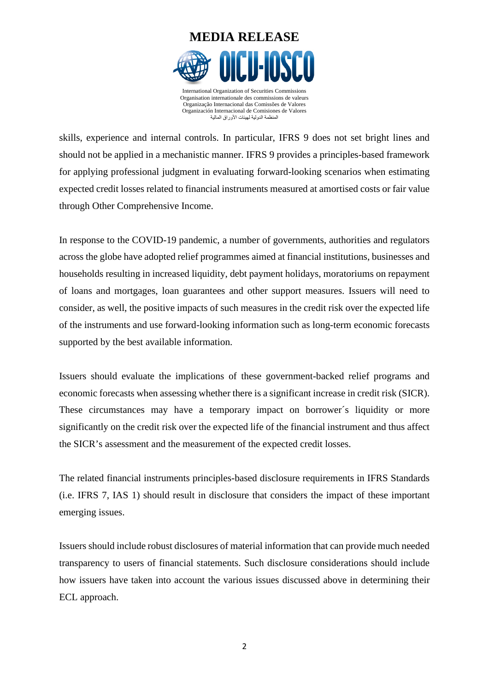

skills, experience and internal controls. In particular, IFRS 9 does not set bright lines and should not be applied in a mechanistic manner. IFRS 9 provides a principles-based framework for applying professional judgment in evaluating forward-looking scenarios when estimating expected credit losses related to financial instruments measured at amortised costs or fair value through Other Comprehensive Income.

In response to the COVID-19 pandemic, a number of governments, authorities and regulators across the globe have adopted relief programmes aimed at financial institutions, businesses and households resulting in increased liquidity, debt payment holidays, moratoriums on repayment of loans and mortgages, loan guarantees and other support measures. Issuers will need to consider, as well, the positive impacts of such measures in the credit risk over the expected life of the instruments and use forward-looking information such as long-term economic forecasts supported by the best available information.

Issuers should evaluate the implications of these government-backed relief programs and economic forecasts when assessing whether there is a significant increase in credit risk (SICR). These circumstances may have a temporary impact on borrower´s liquidity or more significantly on the credit risk over the expected life of the financial instrument and thus affect the SICR's assessment and the measurement of the expected credit losses.

The related financial instruments principles-based disclosure requirements in IFRS Standards (i.e. IFRS 7, IAS 1) should result in disclosure that considers the impact of these important emerging issues.

Issuers should include robust disclosures of material information that can provide much needed transparency to users of financial statements. Such disclosure considerations should include how issuers have taken into account the various issues discussed above in determining their ECL approach.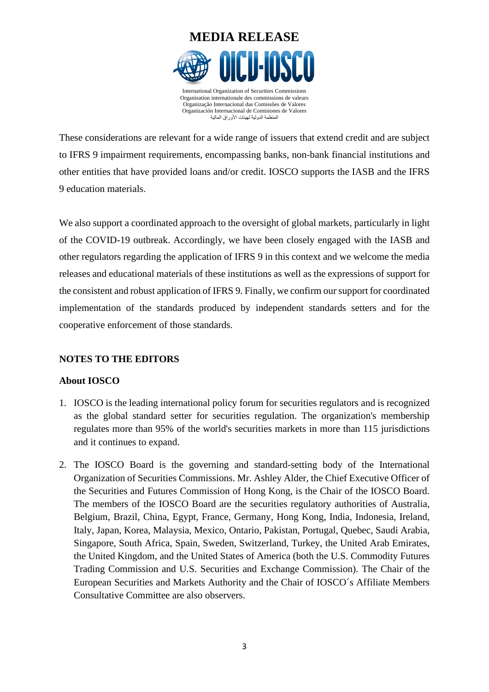

These considerations are relevant for a wide range of issuers that extend credit and are subject to IFRS 9 impairment requirements, encompassing banks, non-bank financial institutions and other entities that have provided loans and/or credit. IOSCO supports the IASB and the IFRS 9 education materials.

We also support a coordinated approach to the oversight of global markets, particularly in light of the COVID-19 outbreak. Accordingly, we have been closely engaged with the IASB and other regulators regarding the application of IFRS 9 in this context and we welcome the media releases and educational materials of these institutions as well as the expressions of support for the consistent and robust application of IFRS 9. Finally, we confirm our support for coordinated implementation of the standards produced by independent standards setters and for the cooperative enforcement of those standards.

## **NOTES TO THE EDITORS**

## **About IOSCO**

- 1. IOSCO is the leading international policy forum for securities regulators and is recognized as the global standard setter for securities regulation. The organization's membership regulates more than 95% of the world's securities markets in more than 115 jurisdictions and it continues to expand.
- 2. The IOSCO Board is the governing and standard-setting body of the International Organization of Securities Commissions. Mr. Ashley Alder, the Chief Executive Officer of the Securities and Futures Commission of Hong Kong, is the Chair of the IOSCO Board. The members of the IOSCO Board are the securities regulatory authorities of Australia, Belgium, Brazil, China, Egypt, France, Germany, Hong Kong, India, Indonesia, Ireland, Italy, Japan, Korea, Malaysia, Mexico, Ontario, Pakistan, Portugal, Quebec, Saudi Arabia, Singapore, South Africa, Spain, Sweden, Switzerland, Turkey, the United Arab Emirates, the United Kingdom, and the United States of America (both the U.S. Commodity Futures Trading Commission and U.S. Securities and Exchange Commission). The Chair of the European Securities and Markets Authority and the Chair of IOSCO´s Affiliate Members Consultative Committee are also observers.